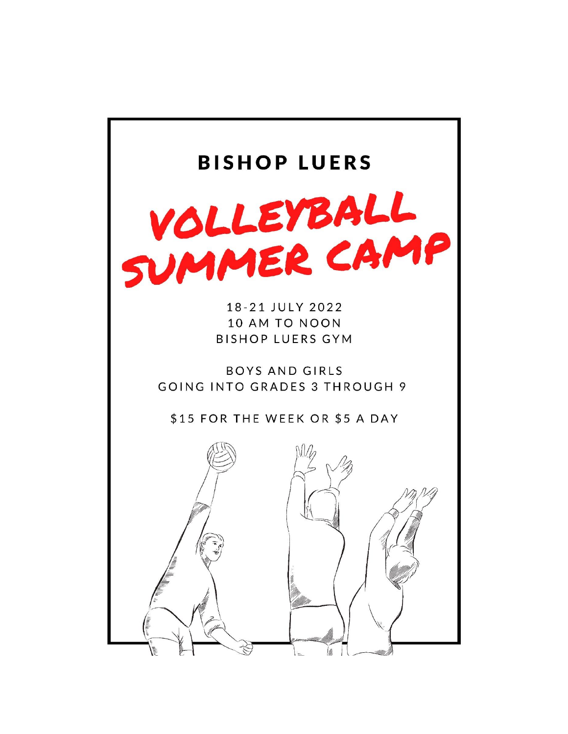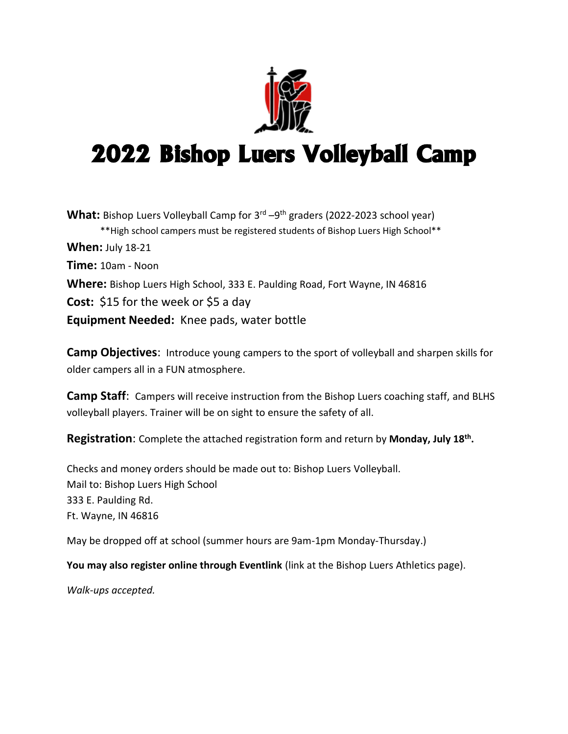

# 2022 Bishop Luers Volleyball Camp

What: Bishop Luers Volleyball Camp for 3<sup>rd</sup> –9<sup>th</sup> graders (2022-2023 school year) \*\*High school campers must be registered students of Bishop Luers High School\*\* **When:** July 18-21 **Time:** 10am - Noon **Where:** Bishop Luers High School, 333 E. Paulding Road, Fort Wayne, IN 46816 **Cost:** \$15 for the week or \$5 a day **Equipment Needed:** Knee pads, water bottle

**Camp Objectives**: Introduce young campers to the sport of volleyball and sharpen skills for older campers all in a FUN atmosphere.

**Camp Staff**: Campers will receive instruction from the Bishop Luers coaching staff, and BLHS volleyball players. Trainer will be on sight to ensure the safety of all.

**Registration**: Complete the attached registration form and return by **Monday, July 18th .**

Checks and money orders should be made out to: Bishop Luers Volleyball. Mail to: Bishop Luers High School 333 E. Paulding Rd. Ft. Wayne, IN 46816

May be dropped off at school (summer hours are 9am-1pm Monday-Thursday.)

**You may also register online through Eventlink** (link at the Bishop Luers Athletics page).

*Walk-ups accepted.*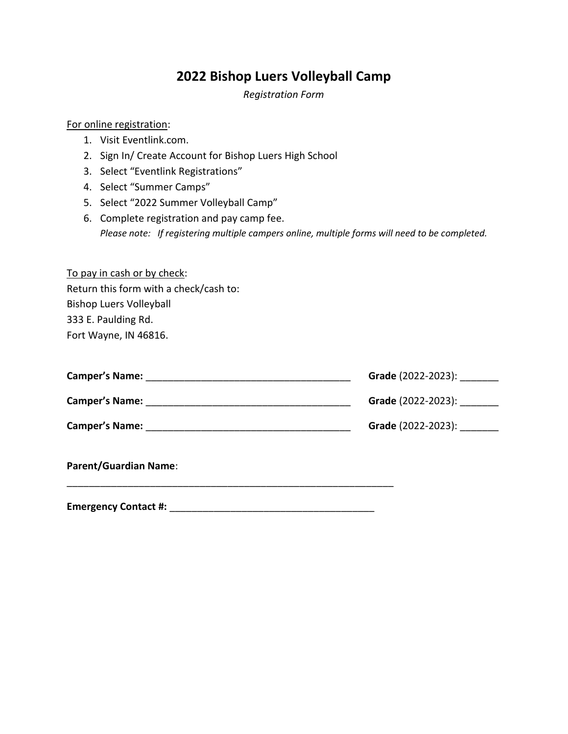### **2022 Bishop Luers Volleyball Camp**

*Registration Form*

#### For online registration:

- 1. Visit Eventlink.com.
- 2. Sign In/ Create Account for Bishop Luers High School
- 3. Select "Eventlink Registrations"
- 4. Select "Summer Camps"
- 5. Select "2022 Summer Volleyball Camp"
- 6. Complete registration and pay camp fee. *Please note: If registering multiple campers online, multiple forms will need to be completed.*

| To pay in cash or by check:            |
|----------------------------------------|
| Return this form with a check/cash to: |
| <b>Bishop Luers Volleyball</b>         |
| 333 E. Paulding Rd.                    |
| Fort Wayne, IN 46816.                  |

| <b>Camper's Name:</b> | Grade (2022-2023):        |
|-----------------------|---------------------------|
| <b>Camper's Name:</b> | <b>Grade</b> (2022-2023): |
| <b>Camper's Name:</b> | Grade (2022-2023):        |

\_\_\_\_\_\_\_\_\_\_\_\_\_\_\_\_\_\_\_\_\_\_\_\_\_\_\_\_\_\_\_\_\_\_\_\_\_\_\_\_\_\_\_\_\_\_\_\_\_\_\_\_\_\_\_\_\_\_\_

**Parent/Guardian Name**:

**Emergency Contact #:** \_\_\_\_\_\_\_\_\_\_\_\_\_\_\_\_\_\_\_\_\_\_\_\_\_\_\_\_\_\_\_\_\_\_\_\_\_